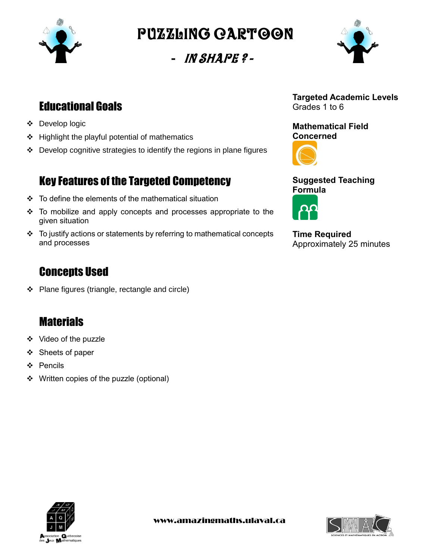

Puzzling cartoon

- In Shape ? -



# Educational Goals

- Develop logic
- $\div$  Highlight the playful potential of mathematics
- Develop cognitive strategies to identify the regions in plane figures

## Key Features of the Targeted Competency

- $\div$  To define the elements of the mathematical situation
- To mobilize and apply concepts and processes appropriate to the given situation
- $\div$  To justify actions or statements by referring to mathematical concepts and processes

## Concepts Used

Plane figures (triangle, rectangle and circle)

### **Materials**

- Video of the puzzle
- ❖ Sheets of paper
- Pencils
- ❖ Written copies of the puzzle (optional)



**Mathematical Field Concerned**



**Suggested Teaching Formula**



**Time Required** Approximately 25 minutes



www.amazingmaths.ulaval.ca